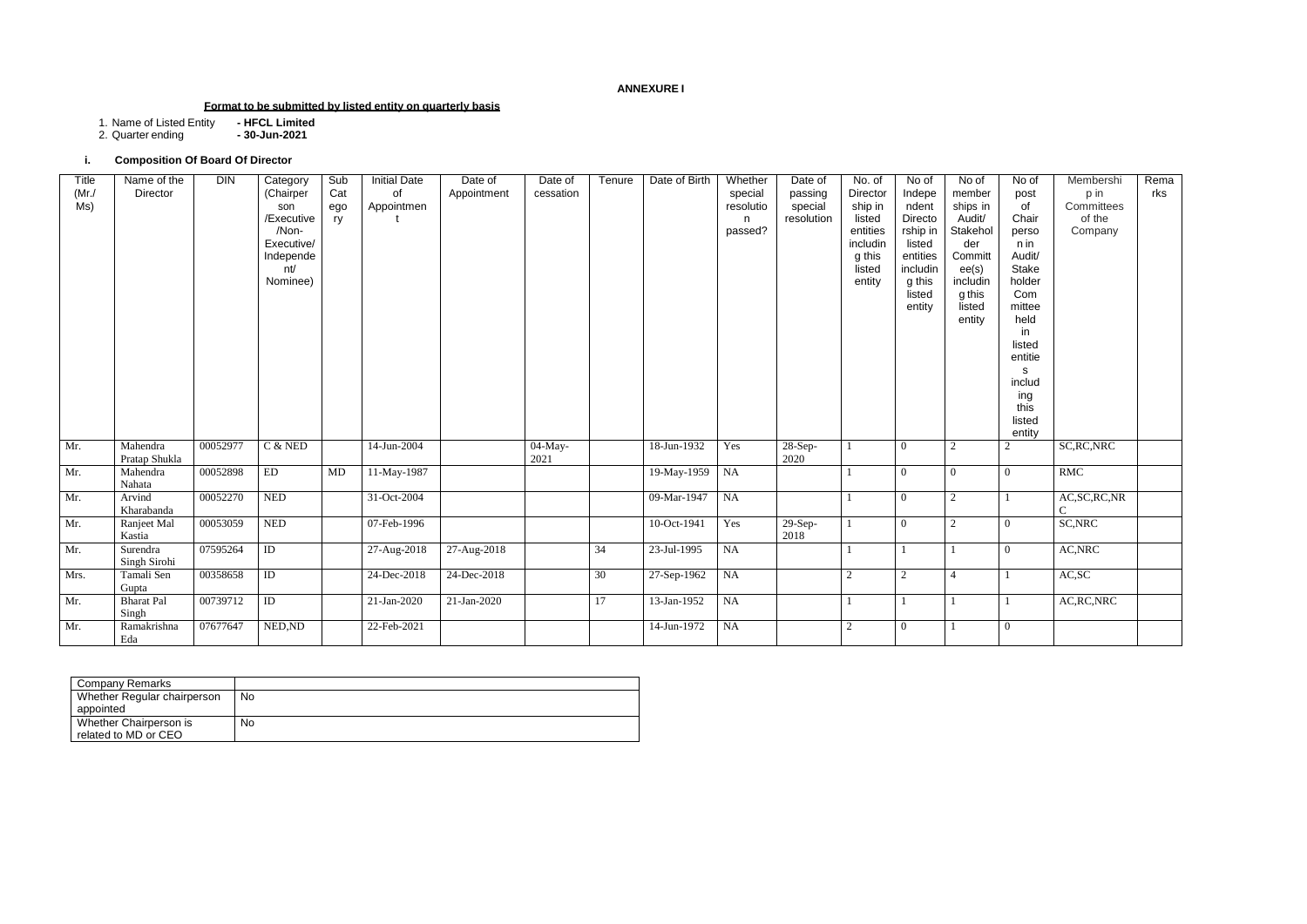## **ANNEXURE I**

## **Format to be submitted by listed entity on quarterly basis**

1. Name of Listed Entity **- HFCL Limited**

2. Quarter ending **- 30-Jun-2021**

# **i. Composition Of Board Of Director**

| Company Remarks             |    |
|-----------------------------|----|
| Whether Regular chairperson | No |
| appointed                   |    |
| Whether Chairperson is      | No |
| related to MD or CEO        |    |

| Title<br>$(Mr$ ./<br>MS) | Name of the<br>Director    | <b>DIN</b> | Category<br>(Chairper<br>son<br>/Executive<br>/Non-<br>Executive/<br>Independe<br>nt/<br>Nominee) | Sub<br>Cat<br>ego<br>ry | <b>Initial Date</b><br>0f<br>Appointmen | Date of<br>Appointment | Date of<br>cessation | Tenure | Date of Birth  | Whether<br>special<br>resolutio<br>n.<br>passed? | Date of<br>passing<br>special<br>resolution | No. of<br>Director<br>ship in<br>listed<br>entities<br>includin<br>g this<br>listed<br>entity | No of<br>Indepe<br>ndent<br>Directo<br>rship in<br>listed<br>entities<br>includin<br>g this<br>listed<br>entity | No of<br>member<br>ships in<br>Audit/<br>Stakehol<br>der<br>Committ<br>ee(s)<br>includin<br>g this<br>listed<br>entity | No of<br>post<br>of<br>Chair<br>perso<br>n in<br>Audit/<br>Stake<br>holder<br>Com<br>mittee<br>held<br>in<br>listed<br>entitie<br>s<br>includ<br>ing<br>this<br>listed<br>entity | Membershi<br>p in<br>Committees<br>of the<br>Company | Rema<br>rks |
|--------------------------|----------------------------|------------|---------------------------------------------------------------------------------------------------|-------------------------|-----------------------------------------|------------------------|----------------------|--------|----------------|--------------------------------------------------|---------------------------------------------|-----------------------------------------------------------------------------------------------|-----------------------------------------------------------------------------------------------------------------|------------------------------------------------------------------------------------------------------------------------|----------------------------------------------------------------------------------------------------------------------------------------------------------------------------------|------------------------------------------------------|-------------|
| Mr.                      | Mahendra<br>Pratap Shukla  | 00052977   | $C$ & NED                                                                                         |                         | 14-Jun-2004                             |                        | 04-May-<br>2021      |        | 18-Jun-1932    | Yes                                              | 28-Sep-<br>2020                             |                                                                                               | $\overline{0}$                                                                                                  | $\overline{2}$                                                                                                         | $\overline{2}$                                                                                                                                                                   | SC, RC, NRC                                          |             |
| Mr.                      | Mahendra<br>Nahata         | 00052898   | ED                                                                                                | MD                      | 11-May-1987                             |                        |                      |        | 19-May-1959 NA |                                                  |                                             |                                                                                               | $\Omega$                                                                                                        | $\Omega$                                                                                                               | $\theta$                                                                                                                                                                         | <b>RMC</b>                                           |             |
| Mr.                      | Arvind<br>Kharabanda       | 00052270   | <b>NED</b>                                                                                        |                         | 31-Oct-2004                             |                        |                      |        | 09-Mar-1947    | $\overline{\mathsf{NA}}$                         |                                             |                                                                                               | $\theta$                                                                                                        | $\overline{2}$                                                                                                         |                                                                                                                                                                                  | AC, SC, RC, NR<br>C                                  |             |
| Mr.                      | Ranjeet Mal<br>Kastia      | 00053059   | <b>NED</b>                                                                                        |                         | 07-Feb-1996                             |                        |                      |        | 10-Oct-1941    | Yes                                              | $29-Sep-$<br>2018                           |                                                                                               | $\theta$                                                                                                        | 2                                                                                                                      | $\overline{0}$                                                                                                                                                                   | SC, NRC                                              |             |
| Mr.                      | Surendra<br>Singh Sirohi   | 07595264   | ID                                                                                                |                         | 27-Aug-2018                             | 27-Aug-2018            |                      | 34     | 23-Jul-1995    | <b>NA</b>                                        |                                             |                                                                                               | $\overline{1}$                                                                                                  |                                                                                                                        | $\overline{0}$                                                                                                                                                                   | AC, NRC                                              |             |
| Mrs.                     | Tamali Sen<br>Gupta        | 00358658   | ID                                                                                                |                         | 24-Dec-2018                             | 24-Dec-2018            |                      | 30     | 27-Sep-1962    | <b>NA</b>                                        |                                             | 2                                                                                             | $\overline{2}$                                                                                                  | $\overline{4}$                                                                                                         |                                                                                                                                                                                  | AC, SC                                               |             |
| Mr.                      | <b>Bharat Pal</b><br>Singh | 00739712   | ID                                                                                                |                         | 21-Jan-2020                             | 21-Jan-2020            |                      | 17     | 13-Jan-1952    | <b>NA</b>                                        |                                             |                                                                                               |                                                                                                                 |                                                                                                                        |                                                                                                                                                                                  | AC, RC, NRC                                          |             |
| Mr.                      | Ramakrishna<br>Eda         | 07677647   | NED, ND                                                                                           |                         | 22-Feb-2021                             |                        |                      |        | 14-Jun-1972    | <b>NA</b>                                        |                                             | 2                                                                                             | $\theta$                                                                                                        |                                                                                                                        | $\overline{0}$                                                                                                                                                                   |                                                      |             |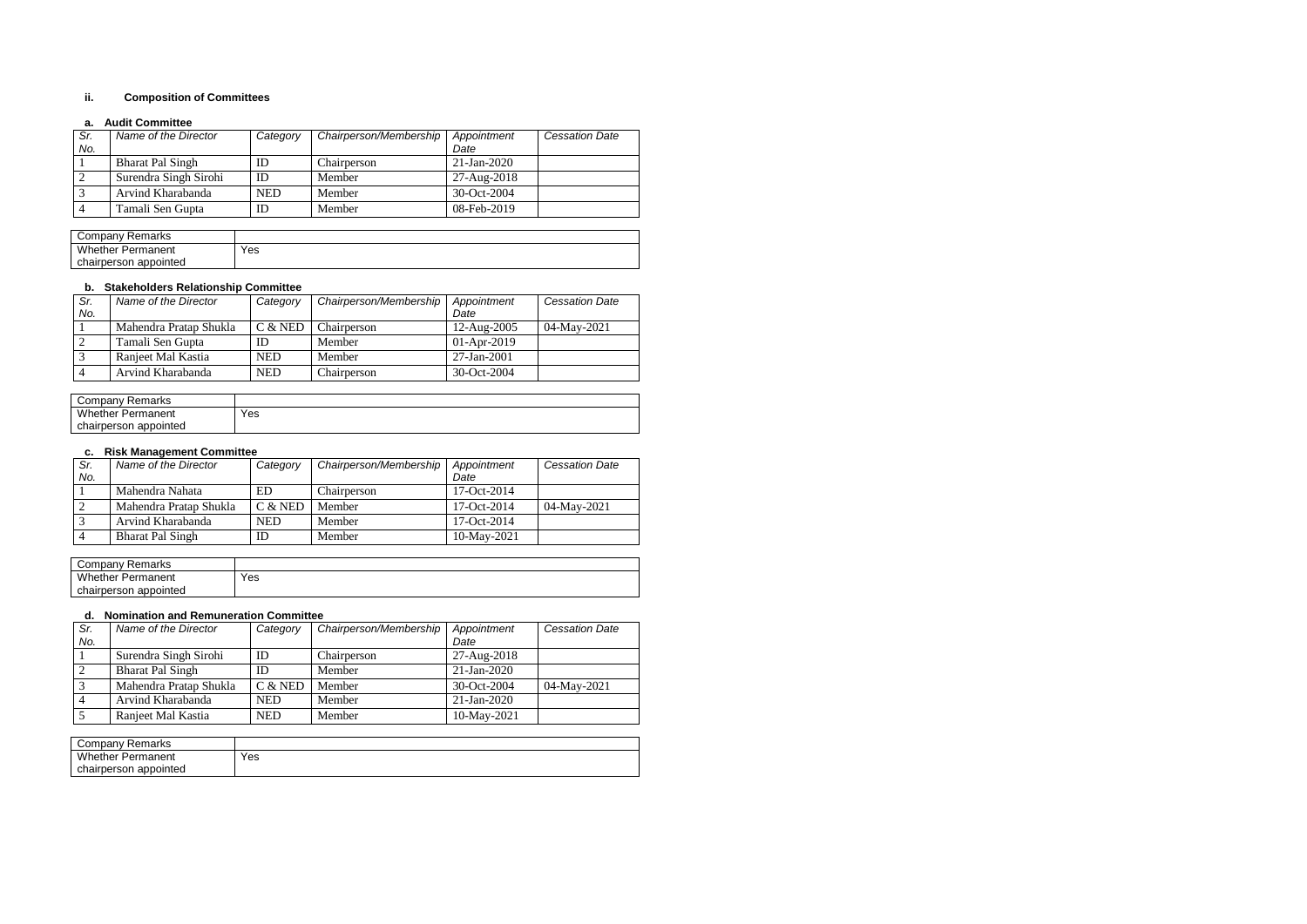# **ii. Composition of Committees**

#### **a. Audit Committee**

| Sr. | Name of the Director    | Category   | Chairperson/Membership | Appointment    | <b>Cessation Date</b> |
|-----|-------------------------|------------|------------------------|----------------|-----------------------|
| No. |                         |            |                        | Date           |                       |
|     | <b>Bharat Pal Singh</b> | ID         | Chairperson            | $21$ -Jan-2020 |                       |
|     | Surendra Singh Sirohi   | ID         | Member                 | 27-Aug-2018    |                       |
|     | Arvind Kharabanda       | <b>NED</b> | Member                 | 30-Oct-2004    |                       |
|     | Tamali Sen Gupta        | ID         | Member                 | 08-Feb-2019    |                       |

| Company Remarks          |     |
|--------------------------|-----|
| <b>Whether Permanent</b> | Yes |
| chairperson appointed    |     |

#### **b. Stakeholders Relationship Committee**

| Sr. | Name of the Director   | Category   | Chairperson/Membership | Appointment   | <b>Cessation Date</b> |
|-----|------------------------|------------|------------------------|---------------|-----------------------|
| No. |                        |            |                        | Date          |                       |
|     | Mahendra Pratap Shukla | $C &$ NED  | Chairperson            | 12-Aug-2005   | 04-May-2021           |
|     | Tamali Sen Gupta       | ID         | Member                 | $01-Apr-2019$ |                       |
|     | Ranjeet Mal Kastia     | <b>NED</b> | Member                 | 27-Jan-2001   |                       |
|     | Arvind Kharabanda      | <b>NED</b> | Chairperson            | 30-Oct-2004   |                       |

| ∵ompany ت<br><b>Remarks</b> |     |
|-----------------------------|-----|
| Whether.<br>Permanent       | Yes |
| chairperson appointed       |     |

## **c. Risk Management Committee**

| Sr. | Name of the Director    | Category   | Chairperson/Membership | Appointment    | <b>Cessation Date</b> |
|-----|-------------------------|------------|------------------------|----------------|-----------------------|
| No. |                         |            |                        | Date           |                       |
|     | Mahendra Nahata         | ED         | Chairperson            | 17-Oct-2014    |                       |
|     | Mahendra Pratap Shukla  | $C &$ NED  | Member                 | 17-Oct-2014    | 04-May-2021           |
|     | Arvind Kharabanda       | <b>NED</b> | Member                 | $17-Oct-2014$  |                       |
|     | <b>Bharat Pal Singh</b> | ID         | Member                 | $10$ -May-2021 |                       |

| Company<br>Remarks       |     |
|--------------------------|-----|
| <b>Whether Permanent</b> | Yes |
| chairperson appointed    |     |

#### **d. Nomination and Remuneration Committee**

| Sr. | Name of the Director    | Category   | Chairperson/Membership | Appointment   | <b>Cessation Date</b> |
|-----|-------------------------|------------|------------------------|---------------|-----------------------|
| No. |                         |            |                        | Date          |                       |
|     | Surendra Singh Sirohi   | ID         | Chairperson            | 27-Aug-2018   |                       |
|     | <b>Bharat Pal Singh</b> | ID         | Member                 | $21-Ian-2020$ |                       |
|     | Mahendra Pratap Shukla  | $C &$ NED  | Member                 | 30-Oct-2004   | 04-May-2021           |
|     | Arvind Kharabanda       | <b>NED</b> | Member                 | $21-Ian-2020$ |                       |
|     | Ranjeet Mal Kastia      | <b>NED</b> | Member                 | 10-May-2021   |                       |

| Company<br>: Remarks       |     |
|----------------------------|-----|
| Whether<br>Permanent       | Yes |
| ) appointed<br>chairperson |     |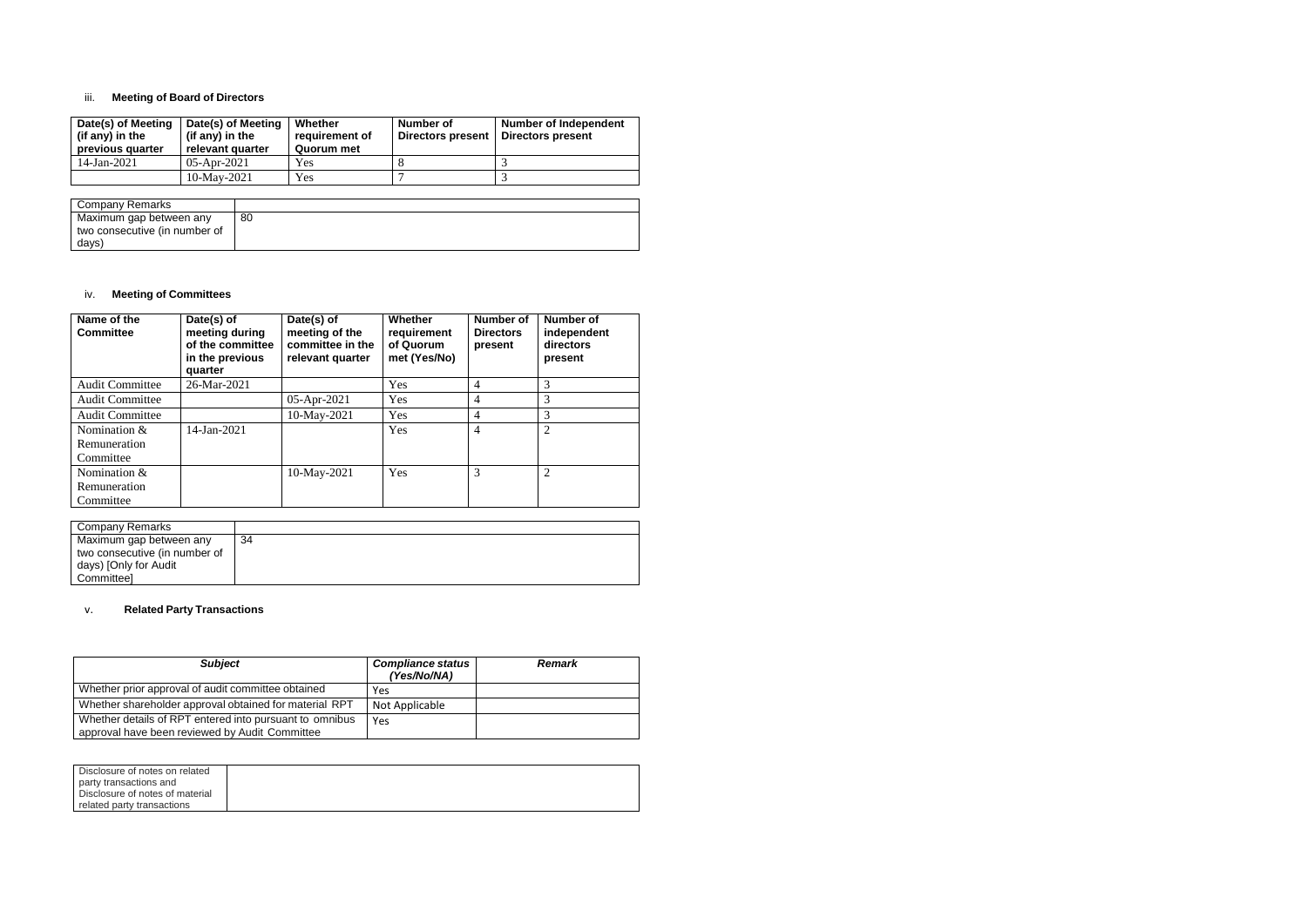# iii. **Meeting of Board of Directors**

| Date(s) of Meeting<br>(if any) in the<br>previous quarter | Date(s) of Meeting<br>(if any) in the<br>relevant quarter | Whether<br>requirement of<br>Quorum met | Number of<br>Directors present | <b>Number of Independent</b><br>Directors present |
|-----------------------------------------------------------|-----------------------------------------------------------|-----------------------------------------|--------------------------------|---------------------------------------------------|
| $14$ -Jan-2021                                            | $05$ -Apr-2021                                            | Yes                                     |                                |                                                   |
|                                                           | 10-May-2021                                               | Yes                                     |                                |                                                   |

| Company Remarks               |    |
|-------------------------------|----|
| Maximum gap between any       | 80 |
| two consecutive (in number of |    |
| days)                         |    |

### iv. **Meeting of Committees**

| Name of the<br><b>Committee</b> | Date(s) of<br>meeting during<br>of the committee<br>in the previous<br>quarter | Date(s) of<br>meeting of the<br>committee in the<br>relevant quarter | <b>Whether</b><br>requirement<br>of Quorum<br>met (Yes/No) | Number of<br><b>Directors</b><br>present | <b>Number of</b><br>independent<br>directors<br>present |
|---------------------------------|--------------------------------------------------------------------------------|----------------------------------------------------------------------|------------------------------------------------------------|------------------------------------------|---------------------------------------------------------|
| <b>Audit Committee</b>          | 26-Mar-2021                                                                    |                                                                      | Yes                                                        | $\overline{4}$                           | 3                                                       |
| <b>Audit Committee</b>          |                                                                                | 05-Apr-2021                                                          | Yes                                                        | $\overline{4}$                           | 3                                                       |
| <b>Audit Committee</b>          |                                                                                | 10-May-2021                                                          | Yes                                                        | $\overline{4}$                           | 3                                                       |
| Nomination &                    | 14-Jan-2021                                                                    |                                                                      | Yes                                                        | $\overline{4}$                           | $\overline{2}$                                          |
| Remuneration                    |                                                                                |                                                                      |                                                            |                                          |                                                         |
| Committee                       |                                                                                |                                                                      |                                                            |                                          |                                                         |
| Nomination &                    |                                                                                | 10-May-2021                                                          | Yes                                                        | 3                                        | $\overline{2}$                                          |
| Remuneration                    |                                                                                |                                                                      |                                                            |                                          |                                                         |
| Committee                       |                                                                                |                                                                      |                                                            |                                          |                                                         |

| Company Remarks               |    |
|-------------------------------|----|
| Maximum gap between any       | 34 |
| two consecutive (in number of |    |
| days) [Only for Audit         |    |
| Committeel                    |    |

## v. **Related Party Transactions**

| <b>Subject</b>                                                                                            | <b>Compliance status</b><br>(Yes/No/NA) | <b>Remark</b> |
|-----------------------------------------------------------------------------------------------------------|-----------------------------------------|---------------|
| Whether prior approval of audit committee obtained                                                        | Yes                                     |               |
| Whether shareholder approval obtained for material RPT                                                    | Not Applicable                          |               |
| Whether details of RPT entered into pursuant to omnibus<br>approval have been reviewed by Audit Committee | Yes                                     |               |

| Disclosure of notes on related  |  |
|---------------------------------|--|
|                                 |  |
| party transactions and          |  |
| Disclosure of notes of material |  |
|                                 |  |
| related party transactions      |  |
|                                 |  |